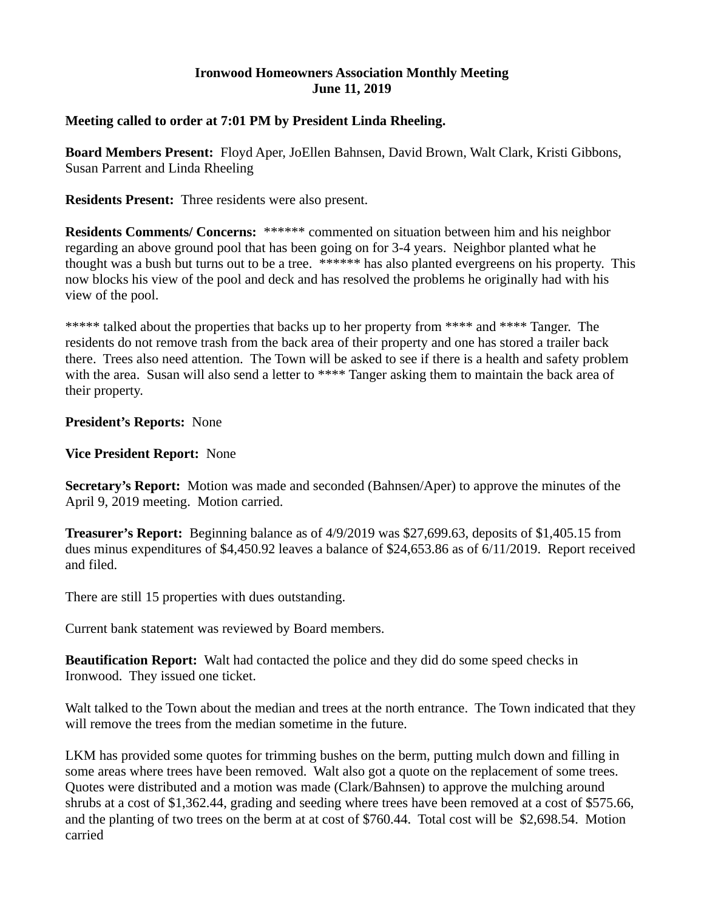#### **Ironwood Homeowners Association Monthly Meeting June 11, 2019**

### **Meeting called to order at 7:01 PM by President Linda Rheeling.**

**Board Members Present:** Floyd Aper, JoEllen Bahnsen, David Brown, Walt Clark, Kristi Gibbons, Susan Parrent and Linda Rheeling

**Residents Present:** Three residents were also present.

**Residents Comments/ Concerns:** \*\*\*\*\*\* commented on situation between him and his neighbor regarding an above ground pool that has been going on for 3-4 years. Neighbor planted what he thought was a bush but turns out to be a tree. \*\*\*\*\*\* has also planted evergreens on his property. This now blocks his view of the pool and deck and has resolved the problems he originally had with his view of the pool.

\*\*\*\*\* talked about the properties that backs up to her property from \*\*\*\* and \*\*\*\* Tanger. The residents do not remove trash from the back area of their property and one has stored a trailer back there. Trees also need attention. The Town will be asked to see if there is a health and safety problem with the area. Susan will also send a letter to \*\*\*\* Tanger asking them to maintain the back area of their property.

#### **President's Reports:** None

**Vice President Report:** None

**Secretary's Report:** Motion was made and seconded (Bahnsen/Aper) to approve the minutes of the April 9, 2019 meeting. Motion carried.

**Treasurer's Report:** Beginning balance as of 4/9/2019 was \$27,699.63, deposits of \$1,405.15 from dues minus expenditures of \$4,450.92 leaves a balance of \$24,653.86 as of 6/11/2019. Report received and filed.

There are still 15 properties with dues outstanding.

Current bank statement was reviewed by Board members.

**Beautification Report:** Walt had contacted the police and they did do some speed checks in Ironwood. They issued one ticket.

Walt talked to the Town about the median and trees at the north entrance. The Town indicated that they will remove the trees from the median sometime in the future.

LKM has provided some quotes for trimming bushes on the berm, putting mulch down and filling in some areas where trees have been removed. Walt also got a quote on the replacement of some trees. Quotes were distributed and a motion was made (Clark/Bahnsen) to approve the mulching around shrubs at a cost of \$1,362.44, grading and seeding where trees have been removed at a cost of \$575.66, and the planting of two trees on the berm at at cost of \$760.44. Total cost will be \$2,698.54. Motion carried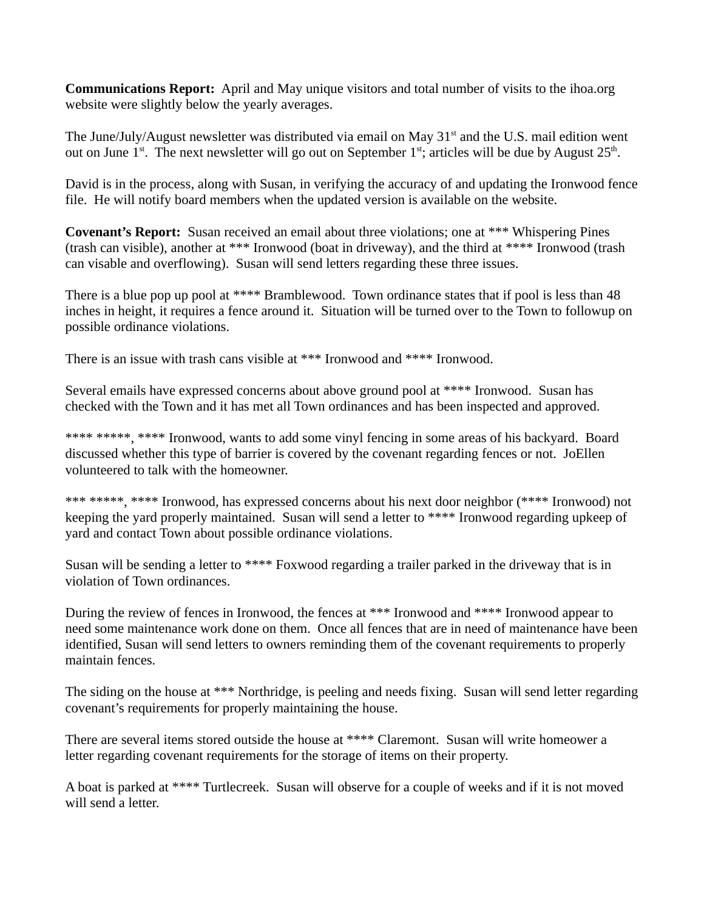**Communications Report:** April and May unique visitors and total number of visits to the ihoa.org website were slightly below the yearly averages.

The June/July/August newsletter was distributed via email on May  $31<sup>st</sup>$  and the U.S. mail edition went out on June  $1^{st}$ . The next newsletter will go out on September  $1^{st}$ ; articles will be due by August  $25^{th}$ .

David is in the process, along with Susan, in verifying the accuracy of and updating the Ironwood fence file. He will notify board members when the updated version is available on the website.

**Covenant's Report:** Susan received an email about three violations; one at \*\*\* Whispering Pines (trash can visible), another at \*\*\* Ironwood (boat in driveway), and the third at \*\*\*\* Ironwood (trash can visable and overflowing). Susan will send letters regarding these three issues.

There is a blue pop up pool at \*\*\*\* Bramblewood. Town ordinance states that if pool is less than 48 inches in height, it requires a fence around it. Situation will be turned over to the Town to followup on possible ordinance violations.

There is an issue with trash cans visible at \*\*\* Ironwood and \*\*\*\* Ironwood.

Several emails have expressed concerns about above ground pool at \*\*\*\* Ironwood. Susan has checked with the Town and it has met all Town ordinances and has been inspected and approved.

\*\*\*\* \*\*\*\*\*, \*\*\*\* Ironwood, wants to add some vinyl fencing in some areas of his backyard. Board discussed whether this type of barrier is covered by the covenant regarding fences or not. JoEllen volunteered to talk with the homeowner.

\*\*\* \*\*\*\*\*, \*\*\*\* Ironwood, has expressed concerns about his next door neighbor (\*\*\*\* Ironwood) not keeping the yard properly maintained. Susan will send a letter to \*\*\*\* Ironwood regarding upkeep of yard and contact Town about possible ordinance violations.

Susan will be sending a letter to \*\*\*\* Foxwood regarding a trailer parked in the driveway that is in violation of Town ordinances.

During the review of fences in Ironwood, the fences at \*\*\* Ironwood and \*\*\*\* Ironwood appear to need some maintenance work done on them. Once all fences that are in need of maintenance have been identified, Susan will send letters to owners reminding them of the covenant requirements to properly maintain fences.

The siding on the house at \*\*\* Northridge, is peeling and needs fixing. Susan will send letter regarding covenant's requirements for properly maintaining the house.

There are several items stored outside the house at \*\*\*\* Claremont. Susan will write homeower a letter regarding covenant requirements for the storage of items on their property.

A boat is parked at \*\*\*\* Turtlecreek. Susan will observe for a couple of weeks and if it is not moved will send a letter.